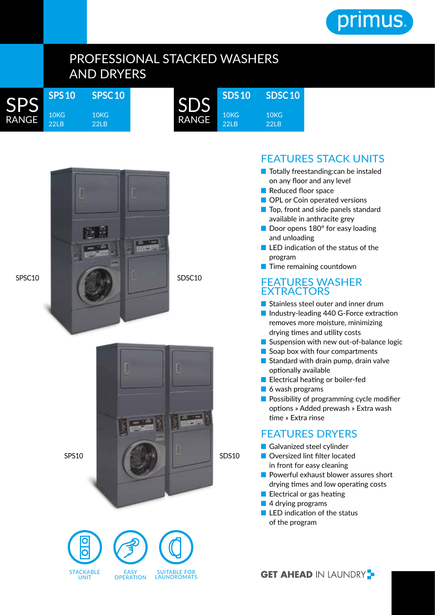

# PROFESSIONAL STACKED WASHERS AND DRYERS

| <b>SPS</b>   | <b>SPS10</b>                        | <b>SPSC1</b> |
|--------------|-------------------------------------|--------------|
| <b>RANGE</b> | 10 <sub>K</sub><br>22I <sub>B</sub> | 10KG<br>22E  |

SPSC10



**SDSC 10** 10KG 22LB



 $\overline{O}$ 

SDSC10

SDS<sub>10</sub>



SPS10



### FEATURES STACK UNITS

- Totally freestanding: can be instaled on any floor and any level
- Reduced floor space
- OPL or Coin operated versions
- Top, front and side panels standard available in anthracite grey
- Door opens 180° for easy loading and unloading
- LED indication of the status of the program
- Time remaining countdown

#### FEATURES WASHER EXTRACTORS

- Stainless steel outer and inner drum
- Industry-leading 440 G-Force extraction removes more moisture, minimizing drying times and utility costs
- Suspension with new out-of-balance logic
- Soap box with four compartments
- Standard with drain pump, drain valve optionally available
- Electrical heating or boiler-fed
- 6 wash programs
- Possibility of programming cycle modifier options » Added prewash » Extra wash time » Extra rinse

### FEATURES DRYERS

- Galvanized steel cylinder
- Oversized lint filter located in front for easy cleaning
- Powerful exhaust blower assures short drying times and low operating costs
- Electrical or gas heating
- 4 drying programs
- LED indication of the status of the program

## **GET AHEAD IN LAUNDRY -**